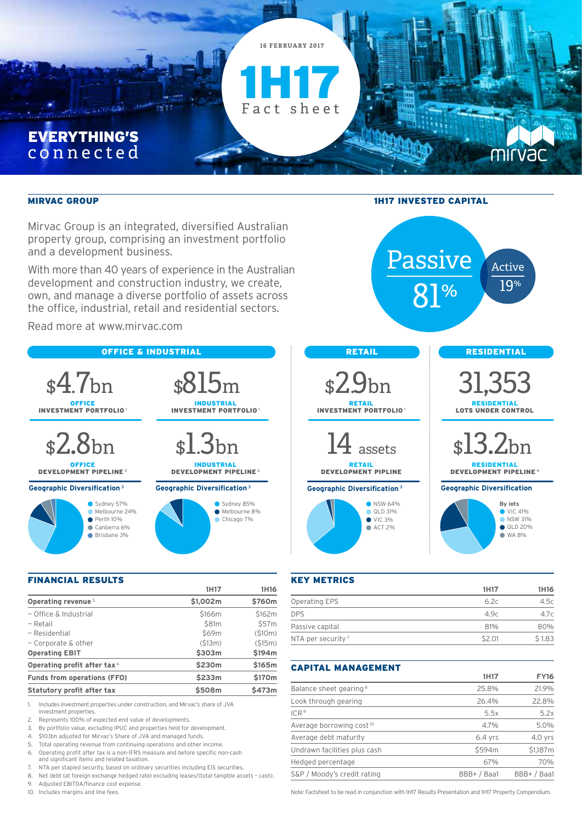

Mirvac Group is an integrated, diversified Australian property group, comprising an investment portfolio and a development business.

With more than 40 years of experience in the Australian development and construction industry, we create, own, and manage a diverse portfolio of assets across the office, industrial, retail and residential sectors.

Read more at www.mirvac.com



### FINANCIAL RESULTS

|                                         | 1H17              | 1H16   |
|-----------------------------------------|-------------------|--------|
| Operating revenue <sup>5</sup>          | \$1,002m          | \$760m |
| $-$ Office & Industrial                 | \$166m            | \$162m |
| - Retail                                | \$81 <sub>m</sub> | \$57m  |
| - Residential                           | \$69m             | (510m) |
| $-$ Corporate & other                   | (S13m)            | (515m) |
| <b>Operating EBIT</b>                   | \$303m            | \$194m |
| Operating profit after tax <sup>6</sup> | \$230m            | \$165m |
| <b>Funds from operations (FFO)</b>      | \$233m            | \$170m |
| Statutory profit after tax              | \$508m            | \$473m |
|                                         |                   |        |

1. Includes investment properties under construction, and Mirvac's share of JVA investment properties.

- 2. Represents 100% of expected end value of developments.
- 3. By portfolio value, excluding IPUC and properties held for development.
- 4. \$10.1bn adjusted for Mirvac's Share of JVA and managed funds.

5. Total operating revenue from continuing operations and other income.

- 6. Operating profit after tax is a non-IFRS measure and before specific non-cash and significant items and related taxation.
- 7. NTA per stapled security, based on ordinary securities including EIS securities.<br>8. Net debt (at foreign exchange hedged rate) excluding leases/(total tangible ass
- 8. Net debt (at foreign exchange hedged rate) excluding leases/(total tangible assets cash).<br>9. Adiusted EBITDA/finance cost expense. 9. Adjusted EBITDA/finance cost expense.
- 



| <b>KEY METRICS</b>            |        |        |
|-------------------------------|--------|--------|
|                               | 1H17   | 1H16   |
| Operating EPS                 | 6.2c   | 4.5c   |
| <b>DPS</b>                    | 4.9c   | 4.7c   |
| Passive capital               | 81%    | 80%    |
| NTA per security <sup>7</sup> | \$2.01 | \$1.83 |
|                               |        |        |

## CAPITAL MANAGEMENT

|                                      | 1H17        | <b>FY16</b> |
|--------------------------------------|-------------|-------------|
| Balance sheet gearing <sup>8</sup>   | 25.8%       | 21.9%       |
| Look through gearing                 | 26.4%       | 22.8%       |
| ICR <sup>9</sup>                     | 5.5x        | 5.2x        |
| Average borrowing cost <sup>10</sup> | 4.7%        | 5.0%        |
| Average debt maturity                | $6.4$ yrs   | $4.0$ yrs   |
| Undrawn facilities plus cash         | \$594m      | \$1,187m    |
| Hedged percentage                    | 67%         | 70%         |
| S&P / Moody's credit rating          | BBB+ / Baa1 | BBB+ / Baa1 |

10. Includes margins and line fees. Note: Factsheet to be read in conjunction with 1H17 Results Presentation and 1H17 Property Compendium.